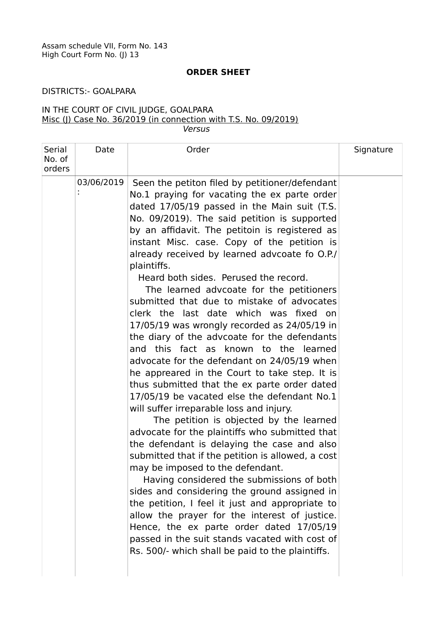## **ORDER SHEET**

## DISTRICTS:- GOALPARA

## IN THE COURT OF CIVIL JUDGE, GOALPARA Misc (J) Case No. 36/2019 (in connection with T.S. No. 09/2019) Versus

| Serial           | Date       | Order                                                                                                                                                                                                                                                                                                                                                                                                                                                                         | Signature |
|------------------|------------|-------------------------------------------------------------------------------------------------------------------------------------------------------------------------------------------------------------------------------------------------------------------------------------------------------------------------------------------------------------------------------------------------------------------------------------------------------------------------------|-----------|
| No. of<br>orders |            |                                                                                                                                                                                                                                                                                                                                                                                                                                                                               |           |
|                  | 03/06/2019 | Seen the petiton filed by petitioner/defendant                                                                                                                                                                                                                                                                                                                                                                                                                                |           |
|                  |            | No.1 praying for vacating the ex parte order                                                                                                                                                                                                                                                                                                                                                                                                                                  |           |
|                  |            | dated 17/05/19 passed in the Main suit (T.S.                                                                                                                                                                                                                                                                                                                                                                                                                                  |           |
|                  |            | No. 09/2019). The said petition is supported                                                                                                                                                                                                                                                                                                                                                                                                                                  |           |
|                  |            | by an affidavit. The petitoin is registered as                                                                                                                                                                                                                                                                                                                                                                                                                                |           |
|                  |            | instant Misc. case. Copy of the petition is                                                                                                                                                                                                                                                                                                                                                                                                                                   |           |
|                  |            | already received by learned advcoate fo O.P./<br>plaintiffs.                                                                                                                                                                                                                                                                                                                                                                                                                  |           |
|                  |            | Heard both sides. Perused the record.                                                                                                                                                                                                                                                                                                                                                                                                                                         |           |
|                  |            | The learned advcoate for the petitioners                                                                                                                                                                                                                                                                                                                                                                                                                                      |           |
|                  |            | submitted that due to mistake of advocates                                                                                                                                                                                                                                                                                                                                                                                                                                    |           |
|                  |            | clerk the last date which was fixed on                                                                                                                                                                                                                                                                                                                                                                                                                                        |           |
|                  |            | 17/05/19 was wrongly recorded as 24/05/19 in                                                                                                                                                                                                                                                                                                                                                                                                                                  |           |
|                  |            | the diary of the advcoate for the defendants                                                                                                                                                                                                                                                                                                                                                                                                                                  |           |
|                  |            | and this fact as known to the learned                                                                                                                                                                                                                                                                                                                                                                                                                                         |           |
|                  |            | advocate for the defendant on 24/05/19 when                                                                                                                                                                                                                                                                                                                                                                                                                                   |           |
|                  |            | he appreared in the Court to take step. It is                                                                                                                                                                                                                                                                                                                                                                                                                                 |           |
|                  |            |                                                                                                                                                                                                                                                                                                                                                                                                                                                                               |           |
|                  |            |                                                                                                                                                                                                                                                                                                                                                                                                                                                                               |           |
|                  |            |                                                                                                                                                                                                                                                                                                                                                                                                                                                                               |           |
|                  |            |                                                                                                                                                                                                                                                                                                                                                                                                                                                                               |           |
|                  |            |                                                                                                                                                                                                                                                                                                                                                                                                                                                                               |           |
|                  |            |                                                                                                                                                                                                                                                                                                                                                                                                                                                                               |           |
|                  |            |                                                                                                                                                                                                                                                                                                                                                                                                                                                                               |           |
|                  |            |                                                                                                                                                                                                                                                                                                                                                                                                                                                                               |           |
|                  |            | sides and considering the ground assigned in                                                                                                                                                                                                                                                                                                                                                                                                                                  |           |
|                  |            | the petition, I feel it just and appropriate to                                                                                                                                                                                                                                                                                                                                                                                                                               |           |
|                  |            | allow the prayer for the interest of justice.                                                                                                                                                                                                                                                                                                                                                                                                                                 |           |
|                  |            | Hence, the ex parte order dated 17/05/19                                                                                                                                                                                                                                                                                                                                                                                                                                      |           |
|                  |            | passed in the suit stands vacated with cost of                                                                                                                                                                                                                                                                                                                                                                                                                                |           |
|                  |            |                                                                                                                                                                                                                                                                                                                                                                                                                                                                               |           |
|                  |            |                                                                                                                                                                                                                                                                                                                                                                                                                                                                               |           |
|                  |            | thus submitted that the ex parte order dated<br>17/05/19 be vacated else the defendant No.1<br>will suffer irreparable loss and injury.<br>The petition is objected by the learned<br>advocate for the plaintiffs who submitted that<br>the defendant is delaying the case and also<br>submitted that if the petition is allowed, a cost<br>may be imposed to the defendant.<br>Having considered the submissions of both<br>Rs. 500/- which shall be paid to the plaintiffs. |           |